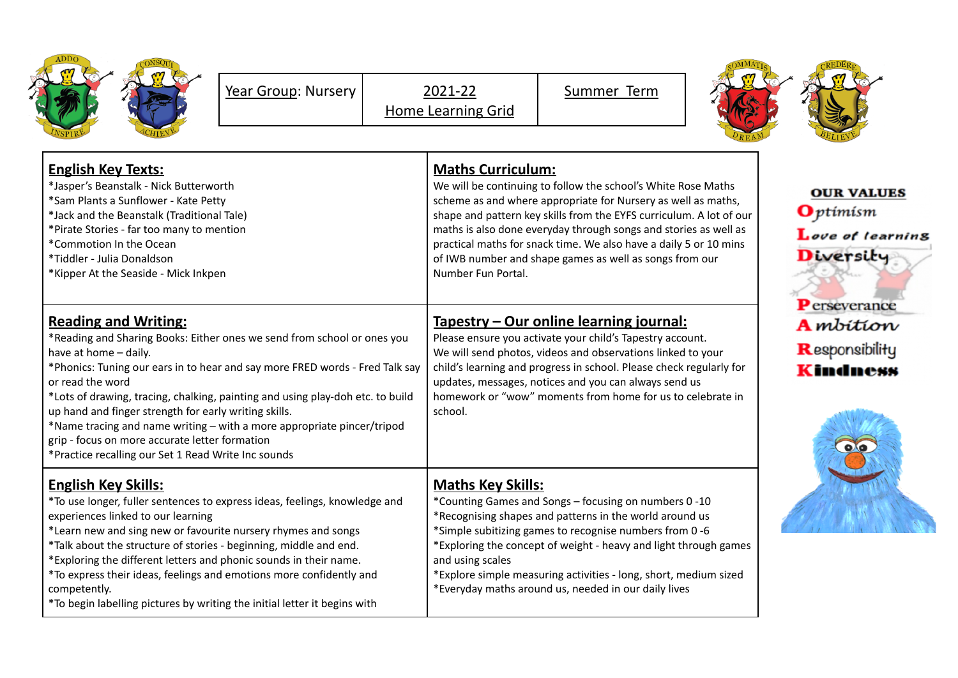| ADDO<br>VSPIRE | <b>JSC</b><br><b>VII</b><br>7Q1<br>ż<br>Ē |
|----------------|-------------------------------------------|
|----------------|-------------------------------------------|

Summer Term



| <b>English Key Texts:</b><br>*Jasper's Beanstalk - Nick Butterworth<br>*Sam Plants a Sunflower - Kate Petty<br>*Jack and the Beanstalk (Traditional Tale)<br>*Pirate Stories - far too many to mention<br>*Commotion In the Ocean<br>*Tiddler - Julia Donaldson<br>*Kipper At the Seaside - Mick Inkpen                                                                                                                                                                                                                                                           | <b>Maths Curriculum:</b><br>We will be continuing to follow the school's White Rose Maths<br>scheme as and where appropriate for Nursery as well as maths,<br>shape and pattern key skills from the EYFS curriculum. A lot of our<br>maths is also done everyday through songs and stories as well as<br>practical maths for snack time. We also have a daily 5 or 10 mins<br>of IWB number and shape games as well as songs from our<br>Number Fun Portal. | <b>OUR VALUES</b><br>$\mathbf{O}$ ptimism<br>Love of learning<br>Diversity |  |
|-------------------------------------------------------------------------------------------------------------------------------------------------------------------------------------------------------------------------------------------------------------------------------------------------------------------------------------------------------------------------------------------------------------------------------------------------------------------------------------------------------------------------------------------------------------------|-------------------------------------------------------------------------------------------------------------------------------------------------------------------------------------------------------------------------------------------------------------------------------------------------------------------------------------------------------------------------------------------------------------------------------------------------------------|----------------------------------------------------------------------------|--|
| <b>Reading and Writing:</b><br>*Reading and Sharing Books: Either ones we send from school or ones you<br>have at home - daily.<br>*Phonics: Tuning our ears in to hear and say more FRED words - Fred Talk say<br>or read the word<br>*Lots of drawing, tracing, chalking, painting and using play-doh etc. to build<br>up hand and finger strength for early writing skills.<br>*Name tracing and name writing - with a more appropriate pincer/tripod<br>grip - focus on more accurate letter formation<br>*Practice recalling our Set 1 Read Write Inc sounds | Tapestry – Our online learning journal:<br>Please ensure you activate your child's Tapestry account.<br>We will send photos, videos and observations linked to your<br>child's learning and progress in school. Please check regularly for<br>updates, messages, notices and you can always send us<br>homework or "wow" moments from home for us to celebrate in<br>school.                                                                                | <b>P</b> erseverance<br><b>A</b> mbition<br>Responsibility<br>Kindness     |  |
| <b>English Key Skills:</b><br>*To use longer, fuller sentences to express ideas, feelings, knowledge and<br>experiences linked to our learning<br>*Learn new and sing new or favourite nursery rhymes and songs<br>*Talk about the structure of stories - beginning, middle and end.<br>*Exploring the different letters and phonic sounds in their name.<br>*To express their ideas, feelings and emotions more confidently and<br>competently.<br>*To begin labelling pictures by writing the initial letter it begins with                                     | <b>Maths Key Skills:</b><br>*Counting Games and Songs - focusing on numbers 0 -10<br>*Recognising shapes and patterns in the world around us<br>*Simple subitizing games to recognise numbers from 0-6<br>*Exploring the concept of weight - heavy and light through games<br>and using scales<br>*Explore simple measuring activities - long, short, medium sized<br>*Everyday maths around us, needed in our daily lives                                  |                                                                            |  |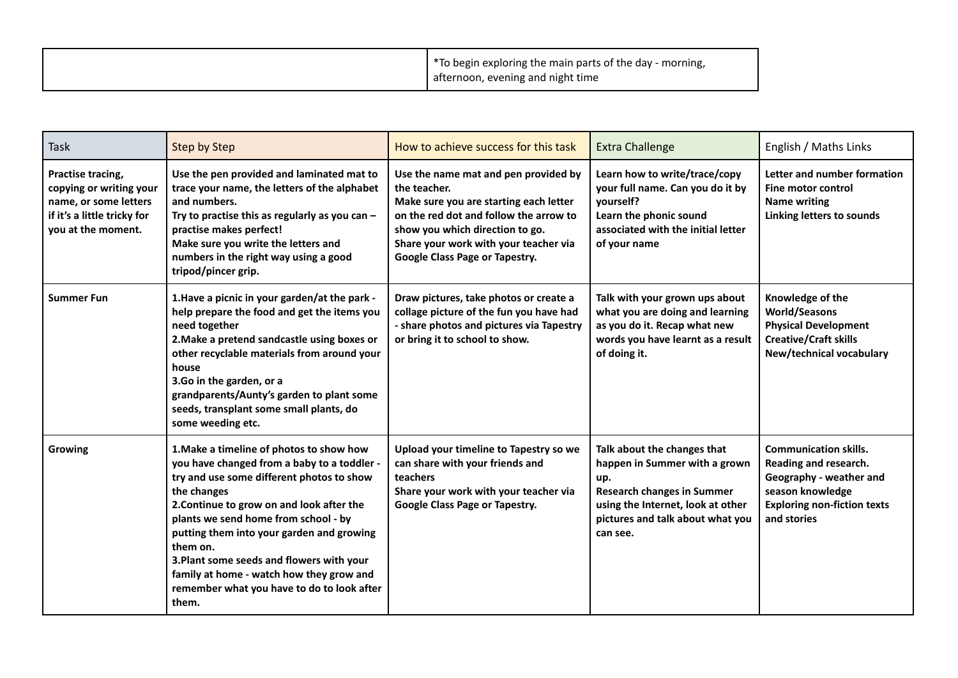|  | *To begin exploring the main parts of the day - morning,<br>afternoon, evening and night time |  |
|--|-----------------------------------------------------------------------------------------------|--|
|--|-----------------------------------------------------------------------------------------------|--|

| <b>Task</b>                                                                                                                | <b>Step by Step</b>                                                                                                                                                                                                                                                                                                                                                                                                                               | How to achieve success for this task                                                                                                                                                                                                                   | <b>Extra Challenge</b>                                                                                                                                                                        | English / Maths Links                                                                                                                                     |
|----------------------------------------------------------------------------------------------------------------------------|---------------------------------------------------------------------------------------------------------------------------------------------------------------------------------------------------------------------------------------------------------------------------------------------------------------------------------------------------------------------------------------------------------------------------------------------------|--------------------------------------------------------------------------------------------------------------------------------------------------------------------------------------------------------------------------------------------------------|-----------------------------------------------------------------------------------------------------------------------------------------------------------------------------------------------|-----------------------------------------------------------------------------------------------------------------------------------------------------------|
| Practise tracing,<br>copying or writing your<br>name, or some letters<br>if it's a little tricky for<br>you at the moment. | Use the pen provided and laminated mat to<br>trace your name, the letters of the alphabet<br>and numbers.<br>Try to practise this as regularly as you can $-$<br>practise makes perfect!<br>Make sure you write the letters and<br>numbers in the right way using a good<br>tripod/pincer grip.                                                                                                                                                   | Use the name mat and pen provided by<br>the teacher.<br>Make sure you are starting each letter<br>on the red dot and follow the arrow to<br>show you which direction to go.<br>Share your work with your teacher via<br>Google Class Page or Tapestry. | Learn how to write/trace/copy<br>your full name. Can you do it by<br>yourself?<br>Learn the phonic sound<br>associated with the initial letter<br>of your name                                | Letter and number formation<br>Fine motor control<br>Name writing<br>Linking letters to sounds                                                            |
| <b>Summer Fun</b>                                                                                                          | 1. Have a picnic in your garden/at the park -<br>help prepare the food and get the items you<br>need together<br>2. Make a pretend sandcastle using boxes or<br>other recyclable materials from around your<br>house<br>3.Go in the garden, or a<br>grandparents/Aunty's garden to plant some<br>seeds, transplant some small plants, do<br>some weeding etc.                                                                                     | Draw pictures, take photos or create a<br>collage picture of the fun you have had<br>- share photos and pictures via Tapestry<br>or bring it to school to show.                                                                                        | Talk with your grown ups about<br>what you are doing and learning<br>as you do it. Recap what new<br>words you have learnt as a result<br>of doing it.                                        | Knowledge of the<br><b>World/Seasons</b><br><b>Physical Development</b><br><b>Creative/Craft skills</b><br>New/technical vocabulary                       |
| Growing                                                                                                                    | 1. Make a timeline of photos to show how<br>you have changed from a baby to a toddler -<br>try and use some different photos to show<br>the changes<br>2. Continue to grow on and look after the<br>plants we send home from school - by<br>putting them into your garden and growing<br>them on.<br>3. Plant some seeds and flowers with your<br>family at home - watch how they grow and<br>remember what you have to do to look after<br>them. | Upload your timeline to Tapestry so we<br>can share with your friends and<br>teachers<br>Share your work with your teacher via<br>Google Class Page or Tapestry.                                                                                       | Talk about the changes that<br>happen in Summer with a grown<br>up.<br><b>Research changes in Summer</b><br>using the Internet, look at other<br>pictures and talk about what you<br>can see. | <b>Communication skills.</b><br>Reading and research.<br>Geography - weather and<br>season knowledge<br><b>Exploring non-fiction texts</b><br>and stories |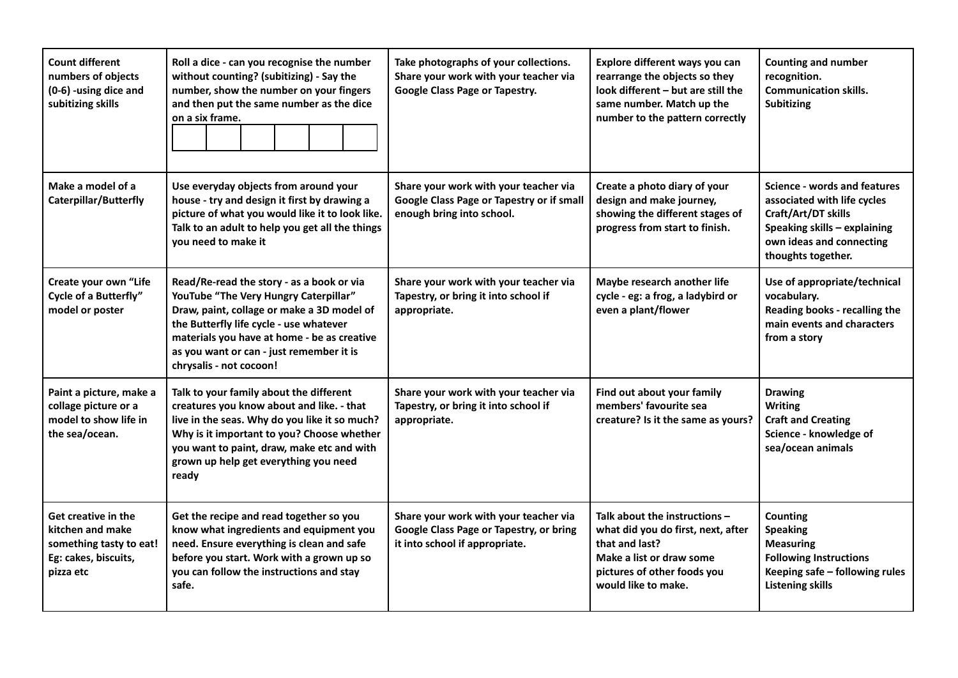| <b>Count different</b><br>numbers of objects<br>(0-6) -using dice and<br>subitizing skills              | Roll a dice - can you recognise the number<br>without counting? (subitizing) - Say the<br>number, show the number on your fingers<br>and then put the same number as the dice<br>on a six frame.                                                                                                  | Take photographs of your collections.<br>Share your work with your teacher via<br>Google Class Page or Tapestry.   | Explore different ways you can<br>rearrange the objects so they<br>look different - but are still the<br>same number. Match up the<br>number to the pattern correctly     | <b>Counting and number</b><br>recognition.<br><b>Communication skills.</b><br><b>Subitizing</b>                                                                             |
|---------------------------------------------------------------------------------------------------------|---------------------------------------------------------------------------------------------------------------------------------------------------------------------------------------------------------------------------------------------------------------------------------------------------|--------------------------------------------------------------------------------------------------------------------|---------------------------------------------------------------------------------------------------------------------------------------------------------------------------|-----------------------------------------------------------------------------------------------------------------------------------------------------------------------------|
| Make a model of a<br><b>Caterpillar/Butterfly</b>                                                       | Use everyday objects from around your<br>house - try and design it first by drawing a<br>picture of what you would like it to look like.<br>Talk to an adult to help you get all the things<br>you need to make it                                                                                | Share your work with your teacher via<br>Google Class Page or Tapestry or if small<br>enough bring into school.    | Create a photo diary of your<br>design and make journey,<br>showing the different stages of<br>progress from start to finish.                                             | <b>Science - words and features</b><br>associated with life cycles<br>Craft/Art/DT skills<br>Speaking skills - explaining<br>own ideas and connecting<br>thoughts together. |
| Create your own "Life<br>Cycle of a Butterfly"<br>model or poster                                       | Read/Re-read the story - as a book or via<br>YouTube "The Very Hungry Caterpillar"<br>Draw, paint, collage or make a 3D model of<br>the Butterfly life cycle - use whatever<br>materials you have at home - be as creative<br>as you want or can - just remember it is<br>chrysalis - not cocoon! | Share your work with your teacher via<br>Tapestry, or bring it into school if<br>appropriate.                      | Maybe research another life<br>cycle - eg: a frog, a ladybird or<br>even a plant/flower                                                                                   | Use of appropriate/technical<br>vocabulary.<br>Reading books - recalling the<br>main events and characters<br>from a story                                                  |
| Paint a picture, make a<br>collage picture or a<br>model to show life in<br>the sea/ocean.              | Talk to your family about the different<br>creatures you know about and like. - that<br>live in the seas. Why do you like it so much?<br>Why is it important to you? Choose whether<br>you want to paint, draw, make etc and with<br>grown up help get everything you need<br>ready               | Share your work with your teacher via<br>Tapestry, or bring it into school if<br>appropriate.                      | Find out about your family<br>members' favourite sea<br>creature? Is it the same as yours?                                                                                | <b>Drawing</b><br><b>Writing</b><br><b>Craft and Creating</b><br>Science - knowledge of<br>sea/ocean animals                                                                |
| Get creative in the<br>kitchen and make<br>something tasty to eat!<br>Eg: cakes, biscuits,<br>pizza etc | Get the recipe and read together so you<br>know what ingredients and equipment you<br>need. Ensure everything is clean and safe<br>before you start. Work with a grown up so<br>you can follow the instructions and stay<br>safe.                                                                 | Share your work with your teacher via<br>Google Class Page or Tapestry, or bring<br>it into school if appropriate. | Talk about the instructions $-$<br>what did you do first, next, after<br>that and last?<br>Make a list or draw some<br>pictures of other foods you<br>would like to make. | <b>Counting</b><br><b>Speaking</b><br><b>Measuring</b><br><b>Following Instructions</b><br>Keeping safe - following rules<br><b>Listening skills</b>                        |